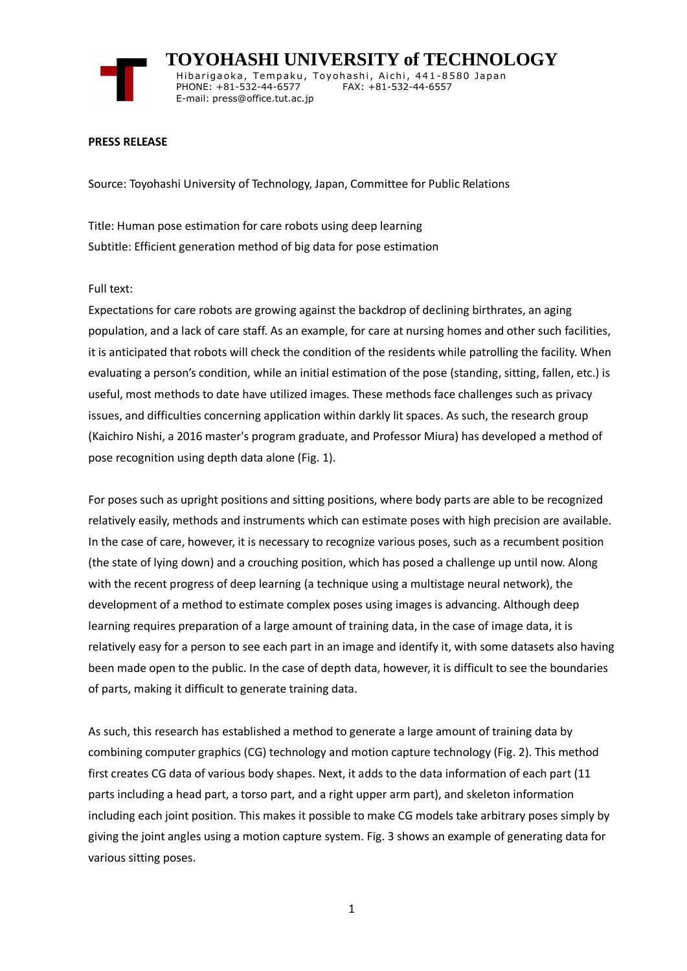

 **TOYOHASHI UNIVERSITY of TECHNOLOGY** Hibarigaoka, Tempaku, Toyohashi, Aichi, 441-8580 Japan PHONE: +81-532-44-6577 FAX: +81-532-44-6557 E-mail: press@office.tut.ac.jp

## **PRESS RELEASE**

Source: Toyohashi University of Technology, Japan, Committee for Public Relations

Title: Human pose estimation for care robots using deep learning Subtitle: Efficient generation method of big data for pose estimation

## Full text:

Expectations for care robots are growing against the backdrop of declining birthrates, an aging population, and a lack of care staff. As an example, for care at nursing homes and other such facilities, it is anticipated that robots will check the condition of the residents while patrolling the facility. When evaluating a person's condition, while an initial estimation of the pose (standing, sitting, fallen, etc.) is useful, most methods to date have utilized images. These methods face challenges such as privacy issues, and difficulties concerning application within darkly lit spaces. As such, the research group (Kaichiro Nishi, a 2016 master's program graduate, and Professor Miura) has developed a method of pose recognition using depth data alone (Fig. 1).

For poses such as upright positions and sitting positions, where body parts are able to be recognized relatively easily, methods and instruments which can estimate poses with high precision are available. In the case of care, however, it is necessary to recognize various poses, such as a recumbent position (the state of lying down) and a crouching position, which has posed a challenge up until now. Along with the recent progress of deep learning (a technique using a multistage neural network), the development of a method to estimate complex poses using images is advancing. Although deep learning requires preparation of a large amount of training data, in the case of image data, it is relatively easy for a person to see each part in an image and identify it, with some datasets also having been made open to the public. In the case of depth data, however, it is difficult to see the boundaries of parts, making it difficult to generate training data.

As such, this research has established a method to generate a large amount of training data by combining computer graphics (CG) technology and motion capture technology (Fig. 2). This method first creates CG data of various body shapes. Next, it adds to the data information of each part (11 parts including a head part, a torso part, and a right upper arm part), and skeleton information including each joint position. This makes it possible to make CG models take arbitrary poses simply by giving the joint angles using a motion capture system. Fig. 3 shows an example of generating data for various sitting poses.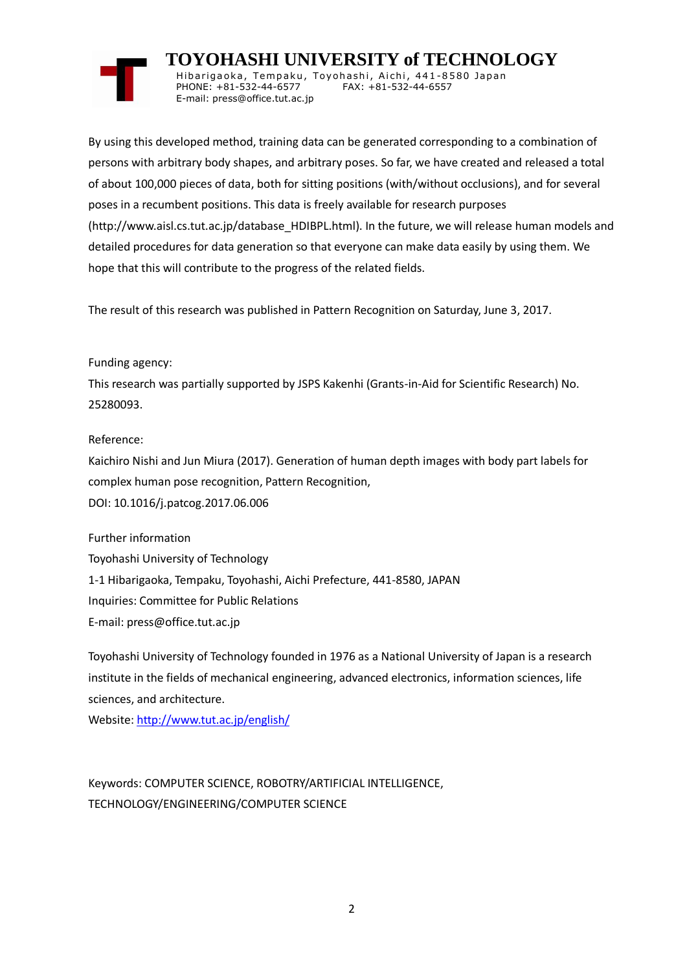# **TOYOHASHI UNIVERSITY of TECHNOLOGY**

Hibarigaoka, Tempaku, Toyohashi, Aichi, 441-8580 Japan PHONE: +81-532-44-6577 FAX: +81-532-44-6557 E-mail: press@office.tut.ac.jp

By using this developed method, training data can be generated corresponding to a combination of persons with arbitrary body shapes, and arbitrary poses. So far, we have created and released a total of about 100,000 pieces of data, both for sitting positions (with/without occlusions), and for several poses in a recumbent positions. This data is freely available for research purposes (http://www.aisl.cs.tut.ac.jp/database\_HDIBPL.html). In the future, we will release human models and detailed procedures for data generation so that everyone can make data easily by using them. We hope that this will contribute to the progress of the related fields.

The result of this research was published in Pattern Recognition on Saturday, June 3, 2017.

# Funding agency:

This research was partially supported by JSPS Kakenhi (Grants-in-Aid for Scientific Research) No. 25280093.

# Reference:

Kaichiro Nishi and Jun Miura (2017). Generation of human depth images with body part labels for complex human pose recognition, Pattern Recognition, DOI: 10.1016/j.patcog.2017.06.006

Further information Toyohashi University of Technology 1-1 Hibarigaoka, Tempaku, Toyohashi, Aichi Prefecture, 441-8580, JAPAN Inquiries: Committee for Public Relations E-mail: press@office.tut.ac.jp

Toyohashi University of Technology founded in 1976 as a National University of Japan is a research institute in the fields of mechanical engineering, advanced electronics, information sciences, life sciences, and architecture.

Website[: http://www.tut.ac.jp/english/](http://www.tut.ac.jp/english/)

Keywords: COMPUTER SCIENCE, ROBOTRY/ARTIFICIAL INTELLIGENCE, TECHNOLOGY/ENGINEERING/COMPUTER SCIENCE